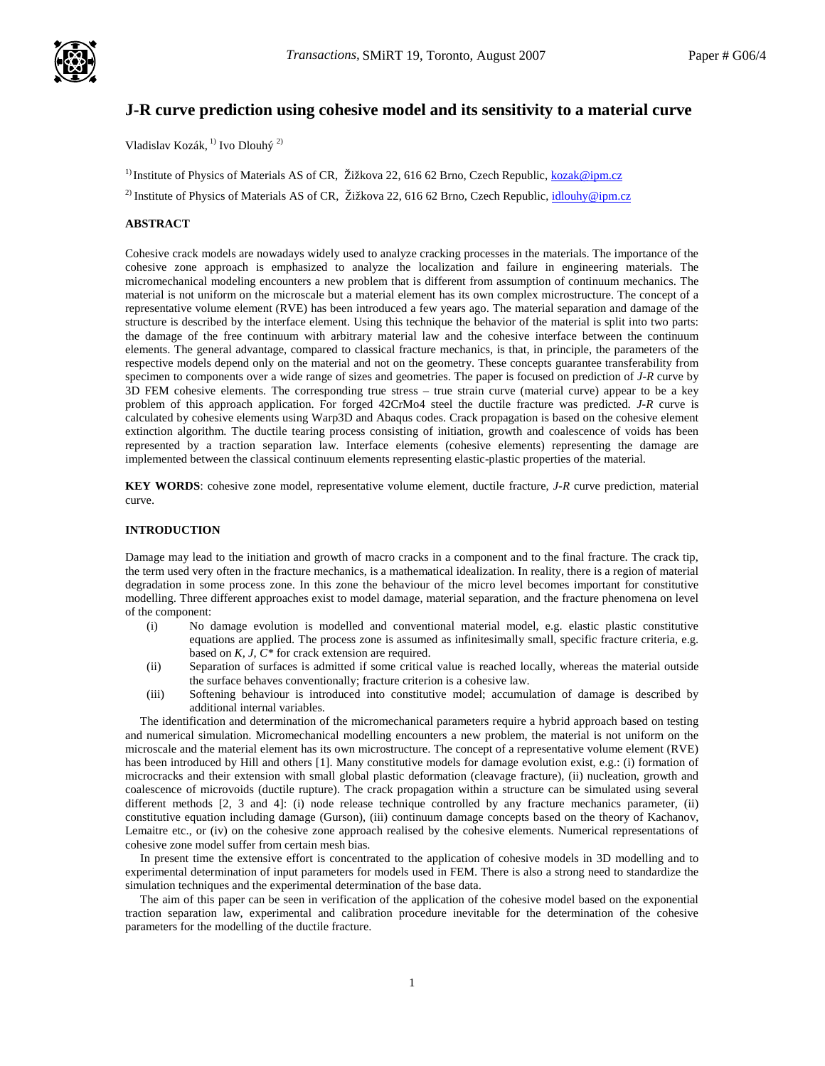

# **J-R curve prediction using cohesive model and its sensitivity to a material curve**

Vladislav Kozák, 1) Ivo Dlouhý 2)

<sup>1)</sup> Institute of Physics of Materials AS of CR, Žižkova 22, 616 62 Brno, Czech Republic, kozak@ipm.cz

<sup>2)</sup> Institute of Physics of Materials AS of CR, Žižkova 22, 616 62 Brno, Czech Republic, idlouhy@ipm.cz

# **ABSTRACT**

Cohesive crack models are nowadays widely used to analyze cracking processes in the materials. The importance of the cohesive zone approach is emphasized to analyze the localization and failure in engineering materials. The micromechanical modeling encounters a new problem that is different from assumption of continuum mechanics. The material is not uniform on the microscale but a material element has its own complex microstructure. The concept of a representative volume element (RVE) has been introduced a few years ago. The material separation and damage of the structure is described by the interface element. Using this technique the behavior of the material is split into two parts: the damage of the free continuum with arbitrary material law and the cohesive interface between the continuum elements. The general advantage, compared to classical fracture mechanics, is that, in principle, the parameters of the respective models depend only on the material and not on the geometry. These concepts guarantee transferability from specimen to components over a wide range of sizes and geometries. The paper is focused on prediction of *J-R* curve by 3D FEM cohesive elements. The corresponding true stress – true strain curve (material curve) appear to be a key problem of this approach application. For forged 42CrMo4 steel the ductile fracture was predicted*. J-R* curve is calculated by cohesive elements using Warp3D and Abaqus codes. Crack propagation is based on the cohesive element extinction algorithm. The ductile tearing process consisting of initiation, growth and coalescence of voids has been represented by a traction separation law. Interface elements (cohesive elements) representing the damage are implemented between the classical continuum elements representing elastic-plastic properties of the material.

**KEY WORDS**: cohesive zone model, representative volume element, ductile fracture, *J-R* curve prediction, material curve.

### **INTRODUCTION**

Damage may lead to the initiation and growth of macro cracks in a component and to the final fracture. The crack tip, the term used very often in the fracture mechanics, is a mathematical idealization. In reality, there is a region of material degradation in some process zone. In this zone the behaviour of the micro level becomes important for constitutive modelling. Three different approaches exist to model damage, material separation, and the fracture phenomena on level of the component:

- (i) No damage evolution is modelled and conventional material model, e.g. elastic plastic constitutive equations are applied. The process zone is assumed as infinitesimally small, specific fracture criteria, e.g. based on *K, J, C\** for crack extension are required.
- (ii) Separation of surfaces is admitted if some critical value is reached locally, whereas the material outside the surface behaves conventionally; fracture criterion is a cohesive law.
- (iii) Softening behaviour is introduced into constitutive model; accumulation of damage is described by additional internal variables.

 The identification and determination of the micromechanical parameters require a hybrid approach based on testing and numerical simulation. Micromechanical modelling encounters a new problem, the material is not uniform on the microscale and the material element has its own microstructure. The concept of a representative volume element (RVE) has been introduced by Hill and others [1]. Many constitutive models for damage evolution exist, e.g.: (i) formation of microcracks and their extension with small global plastic deformation (cleavage fracture), (ii) nucleation, growth and coalescence of microvoids (ductile rupture). The crack propagation within a structure can be simulated using several different methods [2, 3 and 4]: (i) node release technique controlled by any fracture mechanics parameter, (ii) constitutive equation including damage (Gurson), (iii) continuum damage concepts based on the theory of Kachanov, Lemaitre etc., or (iv) on the cohesive zone approach realised by the cohesive elements. Numerical representations of cohesive zone model suffer from certain mesh bias.

 In present time the extensive effort is concentrated to the application of cohesive models in 3D modelling and to experimental determination of input parameters for models used in FEM. There is also a strong need to standardize the simulation techniques and the experimental determination of the base data.

 The aim of this paper can be seen in verification of the application of the cohesive model based on the exponential traction separation law, experimental and calibration procedure inevitable for the determination of the cohesive parameters for the modelling of the ductile fracture.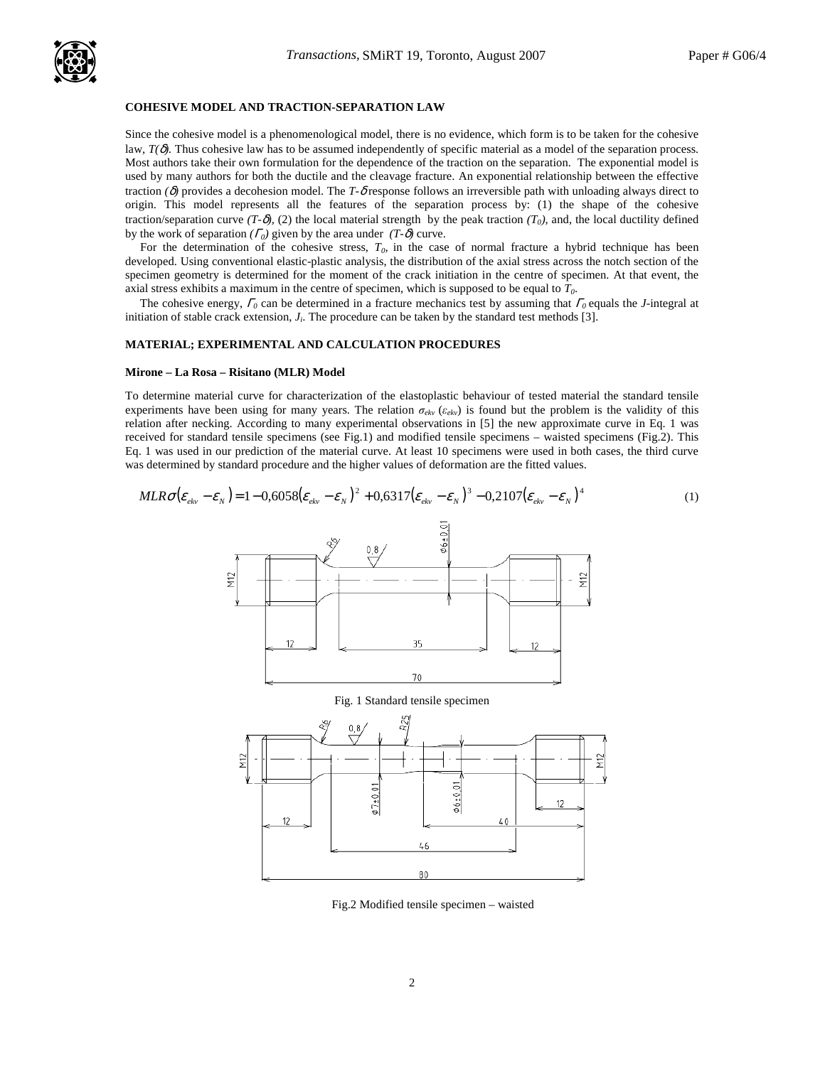

### **COHESIVE MODEL AND TRACTION-SEPARATION LAW**

Since the cohesive model is a phenomenological model, there is no evidence, which form is to be taken for the cohesive law, *T(*δ*).* Thus cohesive law has to be assumed independently of specific material as a model of the separation process. Most authors take their own formulation for the dependence of the traction on the separation. The exponential model is used by many authors for both the ductile and the cleavage fracture. An exponential relationship between the effective traction  $(\delta)$  provides a decohesion model. The *T*- $\delta$  response follows an irreversible path with unloading always direct to origin. This model represents all the features of the separation process by: (1) the shape of the cohesive traction/separation curve  $(T-\delta)$ , (2) the local material strength by the peak traction  $(T_0)$ , and, the local ductility defined by the work of separation  $(\Gamma_0)$  given by the area under  $(T-\delta)$  curve.

For the determination of the cohesive stress,  $T<sub>0</sub>$ , in the case of normal fracture a hybrid technique has been developed. Using conventional elastic-plastic analysis, the distribution of the axial stress across the notch section of the specimen geometry is determined for the moment of the crack initiation in the centre of specimen. At that event, the axial stress exhibits a maximum in the centre of specimen, which is supposed to be equal to *T0*.

 The cohesive energy, <sup>Γ</sup>*0* can be determined in a fracture mechanics test by assuming that <sup>Γ</sup>*0* equals the *J*-integral at initiation of stable crack extension,  $J_i$ . The procedure can be taken by the standard test methods [3].

### **MATERIAL; EXPERIMENTAL AND CALCULATION PROCEDURES**

#### **Mirone – La Rosa – Risitano (MLR) Model**

To determine material curve for characterization of the elastoplastic behaviour of tested material the standard tensile experiments have been using for many years. The relation σ*ekv* (ε*ekv*) is found but the problem is the validity of this relation after necking. According to many experimental observations in [5] the new approximate curve in Eq. 1 was received for standard tensile specimens (see Fig.1) and modified tensile specimens – waisted specimens (Fig.2). This Eq. 1 was used in our prediction of the material curve. At least 10 specimens were used in both cases, the third curve was determined by standard procedure and the higher values of deformation are the fitted values.

$$
MLR\sigma(\varepsilon_{ekv} - \varepsilon_N) = 1 - 0,6058(\varepsilon_{ekv} - \varepsilon_N)^2 + 0,6317(\varepsilon_{ekv} - \varepsilon_N)^3 - 0,2107(\varepsilon_{ekv} - \varepsilon_N)^4
$$
 (1)  
\n
$$
\sum_{\substack{0.8 \\ \overline{12} \\ \overline{2} \\ \overline{2} \\ \overline{2} \\ \overline{2} \\ \overline{2} \\ \overline{2} \\ \overline{2} \\ \overline{2} \\ \overline{2} \\ \overline{2} \\ \overline{2} \\ \overline{2} \\ \overline{2} \\ \overline{2} \\ \overline{2} \\ \overline{2} \\ \overline{2} \\ \overline{2} \\ \overline{2} \\ \overline{2} \\ \overline{2} \\ \overline{2} \\ \overline{2} \\ \overline{2} \\ \overline{2} \\ \overline{2} \\ \overline{2} \\ \overline{2} \\ \overline{2} \\ \overline{2} \\ \overline{2} \\ \overline{2} \\ \overline{2} \\ \overline{2} \\ \overline{2} \\ \overline{2} \\ \overline{2} \\ \overline{2} \\ \overline{2} \\ \overline{2} \\ \overline{2} \\ \overline{2} \\ \overline{2} \\ \overline{2} \\ \overline{2} \\ \overline{2} \\ \overline{2} \\ \overline{2} \\ \overline{2} \\ \overline{2} \\ \overline{2} \\ \overline{2} \\ \overline{2} \\ \overline{2} \\ \overline{2} \\ \overline{2} \\ \overline{2} \\ \overline{2} \\ \overline{2} \\ \overline{2} \\ \overline{2} \\ \overline{2} \\ \overline{2} \\ \overline{2} \\ \overline{2} \\ \overline{2} \\ \overline{2} \\ \overline{2} \\ \overline{2} \\ \overline{2} \\ \overline{2} \\ \overline{2} \\ \overline{2} \\ \overline{2} \\ \overline{2} \\ \overline{2} \\ \overline{2} \\ \overline{2} \\ \overline{2} \\ \overline{2} \\ \overline{2} \\ \overline{2} \\ \overline{2} \\ \overline{2} \\ \overline{2} \\ \overline{2} \\ \overline{2} \\ \overline{2} \\ \overline{2} \\ \overline{2} \\ \over
$$

Fig.2 Modified tensile specimen – waisted

80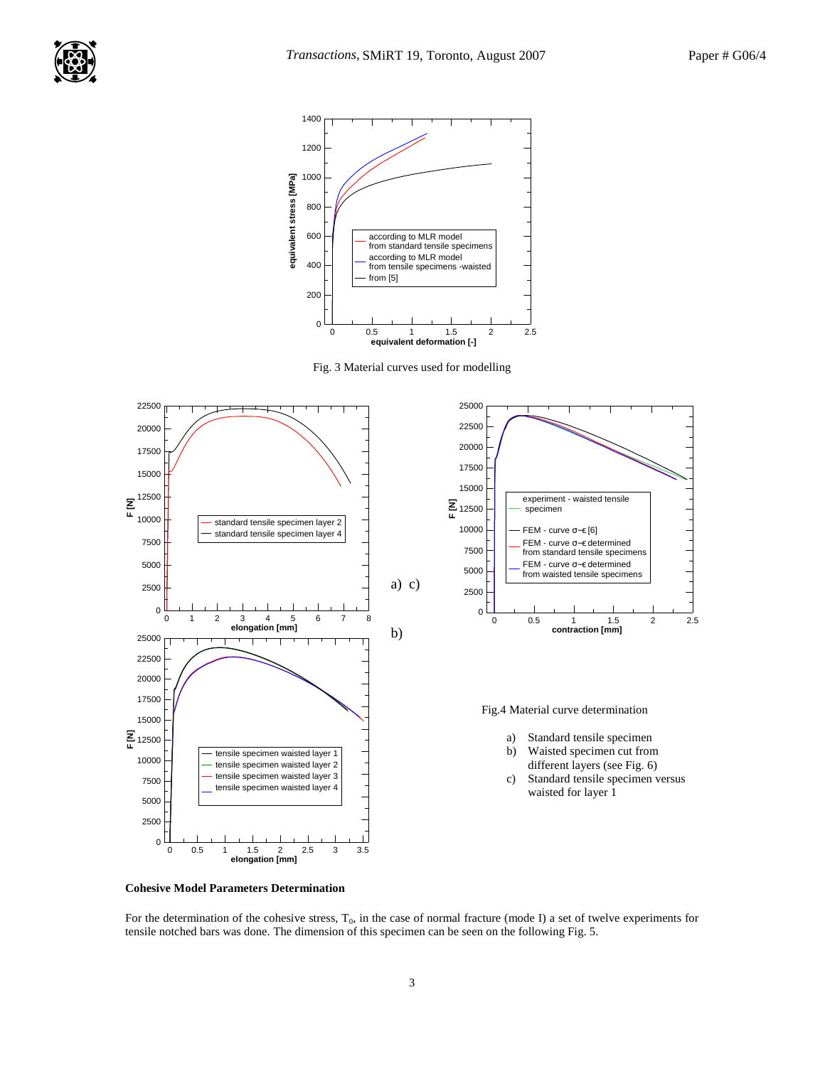

Fig. 3 Material curves used for modelling



**Cohesive Model Parameters Determination** 

For the determination of the cohesive stress, T<sub>0</sub>, in the case of normal fracture (mode I) a set of twelve experiments for tensile notched bars was done. The dimension of this specimen can be seen on the following Fig. 5.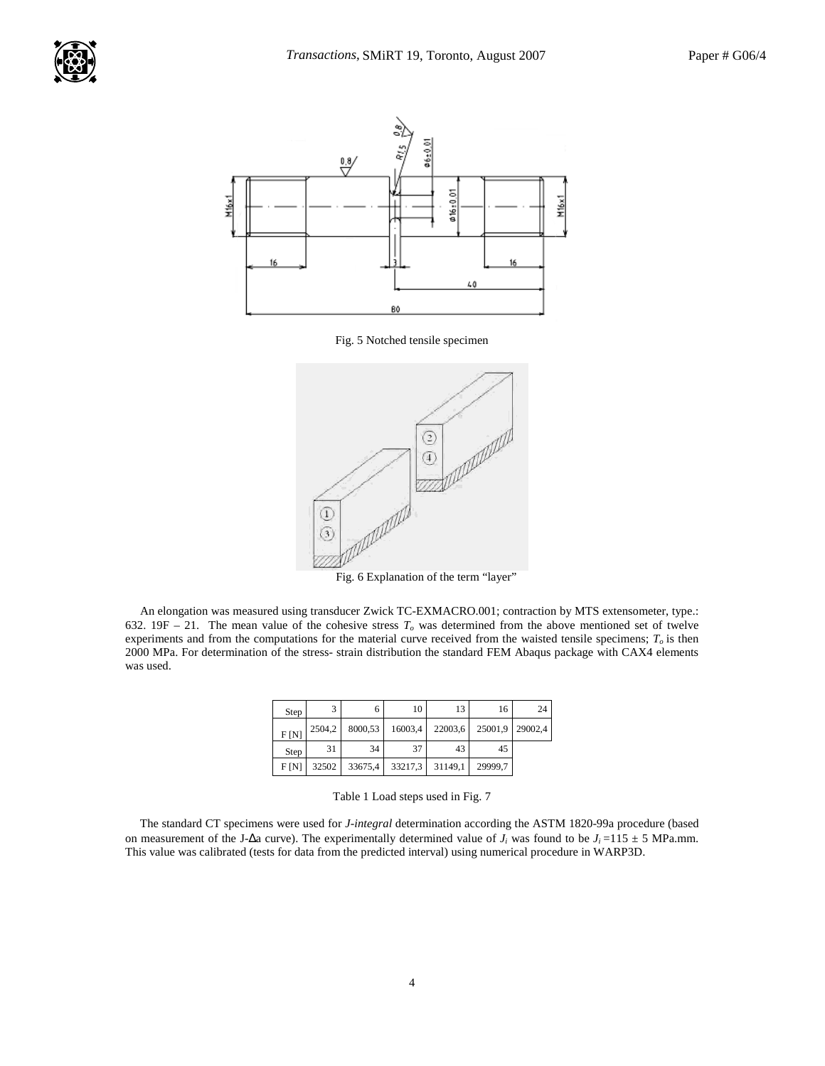

Fig. 5 Notched tensile specimen



Fig. 6 Explanation of the term "layer"

 An elongation was measured using transducer Zwick TC-EXMACRO.001; contraction by MTS extensometer, type.: 632. 19F – 21. The mean value of the cohesive stress  $T<sub>o</sub>$  was determined from the above mentioned set of twelve experiments and from the computations for the material curve received from the waisted tensile specimens; *T<sup>o</sup>* is then 2000 MPa. For determination of the stress- strain distribution the standard FEM Abaqus package with CAX4 elements was used.

| Step | 3      | 6       | 10              | 13 | 16                      | 24 |
|------|--------|---------|-----------------|----|-------------------------|----|
| F[N] | 2504,2 | 8000,53 | 16003,4         |    | 22003,6 25001,9 29002,4 |    |
| Step | 31     | 34      | 37              | 43 | 45                      |    |
| F[N] | 32502  | 33675,4 | 33217,3 31149,1 |    | 29999.7                 |    |

 The standard CT specimens were used for *J-integral* determination according the ASTM 1820-99a procedure (based on measurement of the J-∆a curve). The experimentally determined value of  $J_i$  was found to be  $J_i = 115 \pm 5$  MPa.mm. This value was calibrated (tests for data from the predicted interval) using numerical procedure in WARP3D.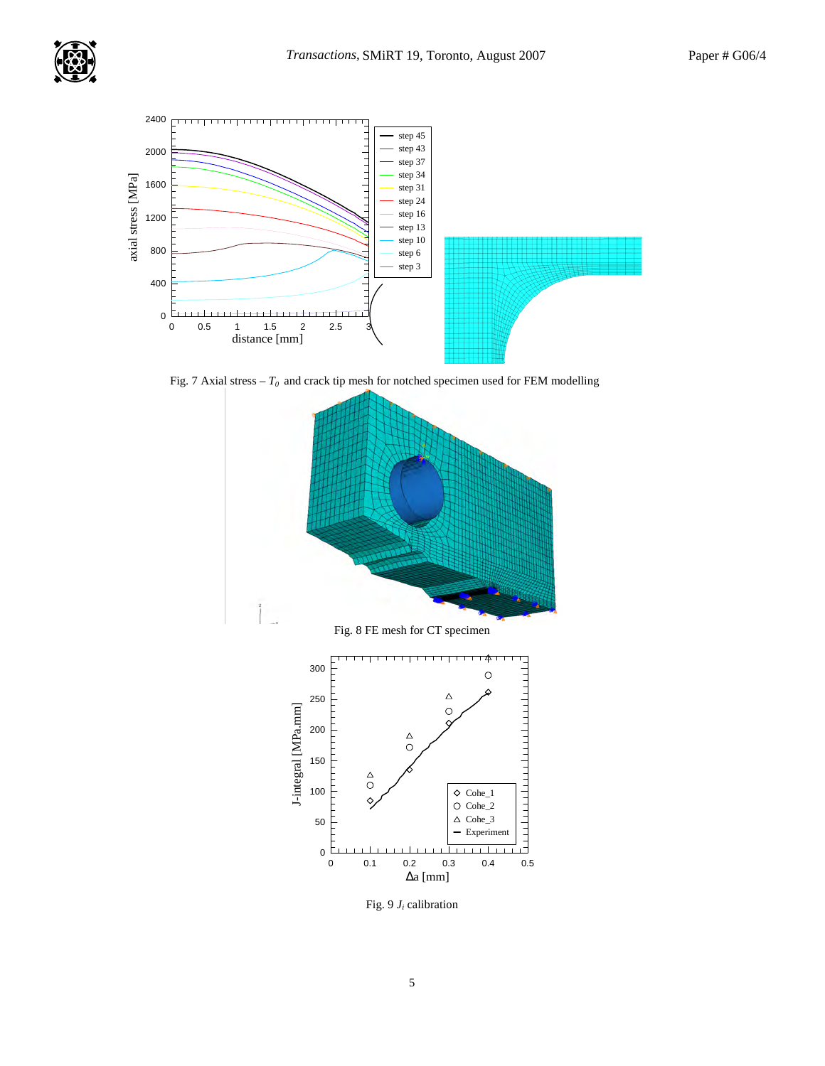



Fig. 7 Axial stress  $-T_0$  and crack tip mesh for notched specimen used for FEM modelling



Fig.  $9 J_i$  calibration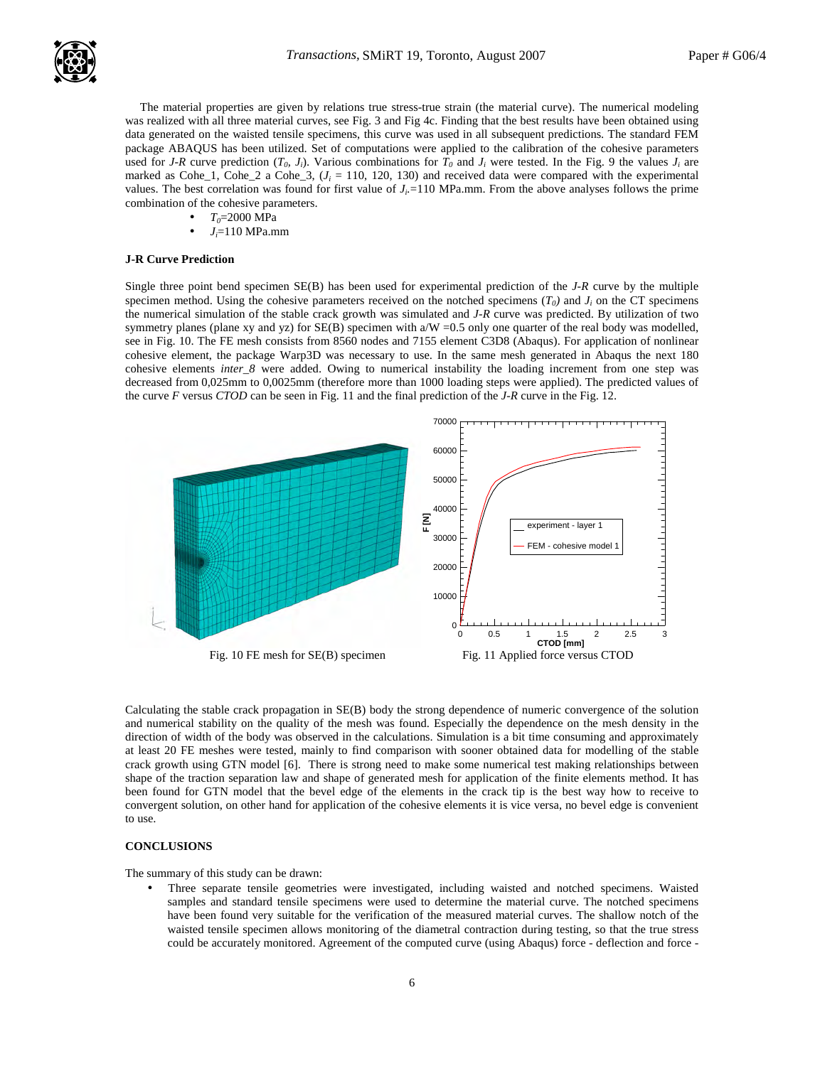The material properties are given by relations true stress-true strain (the material curve). The numerical modeling was realized with all three material curves, see Fig. 3 and Fig 4c. Finding that the best results have been obtained using data generated on the waisted tensile specimens, this curve was used in all subsequent predictions. The standard FEM package ABAQUS has been utilized. Set of computations were applied to the calibration of the cohesive parameters used for *J-R* curve prediction  $(T_0, J_i)$ . Various combinations for  $T_0$  and  $J_i$  were tested. In the Fig. 9 the values  $J_i$  are marked as  $Cobe_1$ ,  $Cobe_2$  a  $Cobe_3$ ,  $(J_i = 110, 120, 130)$  and received data were compared with the experimental values. The best correlation was found for first value of  $J_i = 110$  MPa.mm. From the above analyses follows the prime combination of the cohesive parameters.

- *T0*=2000 MPa
- $J_i = 110$  MPa.mm

#### **J-R Curve Prediction**

Single three point bend specimen SE(B) has been used for experimental prediction of the *J-R* curve by the multiple specimen method. Using the cohesive parameters received on the notched specimens  $(T_0)$  and  $J_i$  on the CT specimens the numerical simulation of the stable crack growth was simulated and *J-R* curve was predicted. By utilization of two symmetry planes (plane xy and yz) for SE(B) specimen with a/W =0.5 only one quarter of the real body was modelled, see in Fig. 10. The FE mesh consists from 8560 nodes and 7155 element C3D8 (Abaqus). For application of nonlinear cohesive element, the package Warp3D was necessary to use. In the same mesh generated in Abaqus the next 180 cohesive elements *inter\_8* were added. Owing to numerical instability the loading increment from one step was decreased from 0,025mm to 0,0025mm (therefore more than 1000 loading steps were applied). The predicted values of the curve *F* versus *CTOD* can be seen in Fig. 11 and the final prediction of the *J-R* curve in the Fig. 12.



Calculating the stable crack propagation in SE(B) body the strong dependence of numeric convergence of the solution and numerical stability on the quality of the mesh was found. Especially the dependence on the mesh density in the direction of width of the body was observed in the calculations. Simulation is a bit time consuming and approximately at least 20 FE meshes were tested, mainly to find comparison with sooner obtained data for modelling of the stable crack growth using GTN model [6]. There is strong need to make some numerical test making relationships between shape of the traction separation law and shape of generated mesh for application of the finite elements method. It has been found for GTN model that the bevel edge of the elements in the crack tip is the best way how to receive to convergent solution, on other hand for application of the cohesive elements it is vice versa, no bevel edge is convenient to use.

# **CONCLUSIONS**

The summary of this study can be drawn:

• Three separate tensile geometries were investigated, including waisted and notched specimens. Waisted samples and standard tensile specimens were used to determine the material curve. The notched specimens have been found very suitable for the verification of the measured material curves. The shallow notch of the waisted tensile specimen allows monitoring of the diametral contraction during testing, so that the true stress could be accurately monitored. Agreement of the computed curve (using Abaqus) force - deflection and force -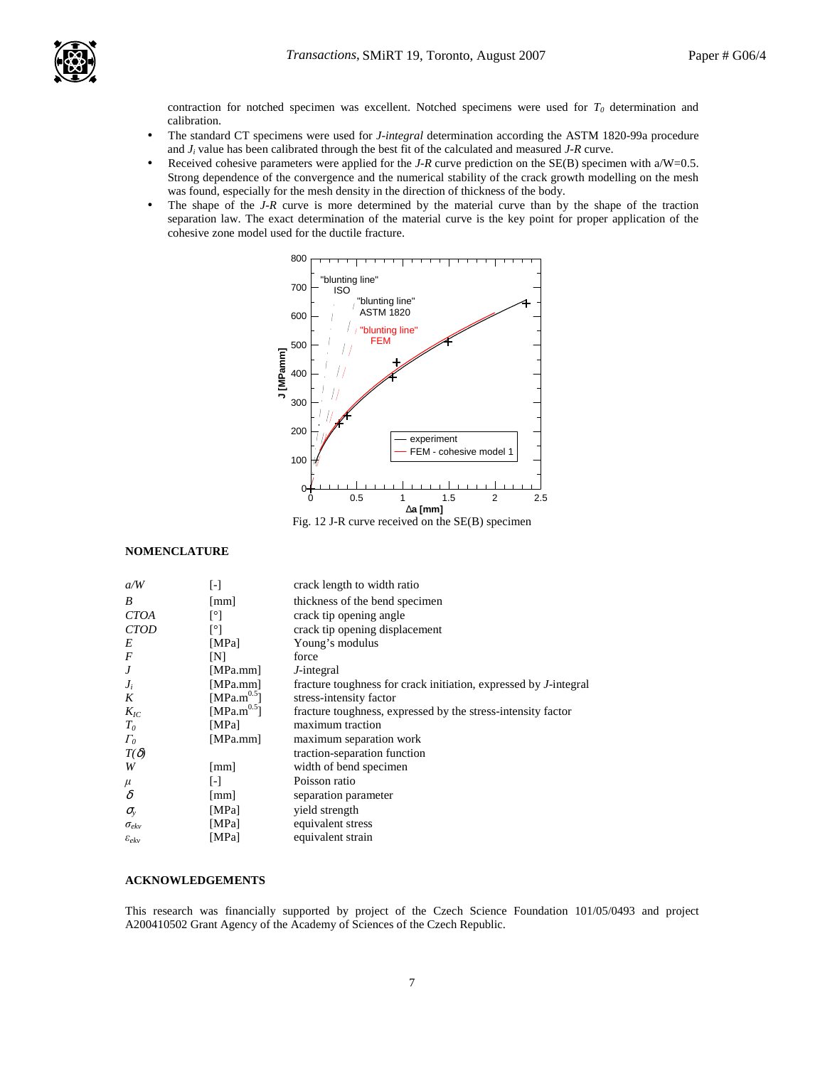

contraction for notched specimen was excellent. Notched specimens were used for  $T<sub>0</sub>$  determination and calibration.

- The standard CT specimens were used for *J-integral* determination according the ASTM 1820-99a procedure and *J<sup>i</sup>* value has been calibrated through the best fit of the calculated and measured *J-R* curve.
- Received cohesive parameters were applied for the *J-R* curve prediction on the SE(B) specimen with a/W=0.5. Strong dependence of the convergence and the numerical stability of the crack growth modelling on the mesh was found, especially for the mesh density in the direction of thickness of the body.
- The shape of the *J-R* curve is more determined by the material curve than by the shape of the traction separation law. The exact determination of the material curve is the key point for proper application of the cohesive zone model used for the ductile fracture.



## **NOMENCLATURE**

| a/W                 | $[\cdot]$               | crack length to width ratio                                              |
|---------------------|-------------------------|--------------------------------------------------------------------------|
| B                   | $\lceil$ mm $\rceil$    | thickness of the bend specimen                                           |
| <b>CTOA</b>         | Γ°Ι                     | crack tip opening angle                                                  |
| <b>CTOD</b>         | Γ°1                     | crack tip opening displacement                                           |
| E                   | [MPa]                   | Young's modulus                                                          |
| $\boldsymbol{F}$    | [N]                     | force                                                                    |
| J                   | [MPa.mm]                | J-integral                                                               |
| $J_i$               | [MPa.mm]                | fracture toughness for crack initiation, expressed by <i>J</i> -integral |
| K                   | [MPa.m <sup>0.5</sup> ] | stress-intensity factor                                                  |
| $K_{IC}$            | [MPa.m $^{0.5}$ ]       | fracture toughness, expressed by the stress-intensity factor             |
| T <sub>o</sub>      | [MPa]                   | maximum traction                                                         |
| $\Gamma_0$          | [MPa.mm]                | maximum separation work                                                  |
| $T(\delta)$         |                         | traction-separation function                                             |
| W                   | $\lceil$ mm $\rceil$    | width of bend specimen                                                   |
| $\mu$               | $\lceil - \rceil$       | Poisson ratio                                                            |
| $\delta$            | $\lfloor$ mm $\rfloor$  | separation parameter                                                     |
| $\sigma_{\rm v}$    | [MPa]                   | yield strength                                                           |
| $\sigma_{ekv}$      | [MPa]                   | equivalent stress                                                        |
| $\varepsilon_{ekv}$ | [MPa]                   | equivalent strain                                                        |

### **ACKNOWLEDGEMENTS**

This research was financially supported by project of the Czech Science Foundation 101/05/0493 and project A200410502 Grant Agency of the Academy of Sciences of the Czech Republic.